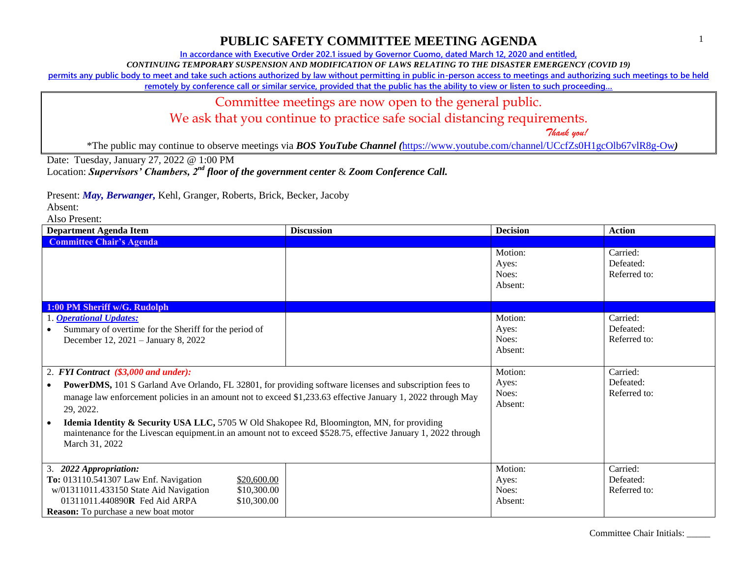**In accordance with Executive Order 202.1 issued by Governor Cuomo, dated March 12, 2020 and entitled,**

*CONTINUING TEMPORARY SUSPENSION AND MODIFICATION OF LAWS RELATING TO THE DISASTER EMERGENCY (COVID 19)*

**permits any public body to meet and take such actions authorized by law without permitting in public in-person access to meetings and authorizing such meetings to be held** 

**remotely by conference call or similar service, provided that the public has the ability to view or listen to such proceeding…**

### Committee meetings are now open to the general public.

We ask that you continue to practice safe social distancing requirements.

 *Thank you!*

\*The public may continue to observe meetings via *BOS YouTube Channel (*<https://www.youtube.com/channel/UCcfZs0H1gcOlb67vlR8g-Ow>*)*

Date: Tuesday, January 27, 2022 @ 1:00 PM

Location: *Supervisors' Chambers, 2nd floor of the government center* & *Zoom Conference Call.*

Present: *May, Berwanger,* Kehl, Granger, Roberts, Brick, Becker, Jacoby

Absent:

| <b>Department Agenda Item</b>                                                                                                | <b>Discussion</b> | <b>Decision</b>                      | Action                                |
|------------------------------------------------------------------------------------------------------------------------------|-------------------|--------------------------------------|---------------------------------------|
| <b>Committee Chair's Agenda</b>                                                                                              |                   |                                      |                                       |
|                                                                                                                              |                   | Motion:<br>Ayes:<br>Noes:<br>Absent: | Carried:<br>Defeated:<br>Referred to: |
| 1:00 PM Sheriff w/G. Rudolph                                                                                                 |                   |                                      |                                       |
| 1. <b>Operational Updates:</b>                                                                                               |                   | Motion:                              | Carried:                              |
| Summary of overtime for the Sheriff for the period of                                                                        |                   | Ayes:                                | Defeated:                             |
| December 12, 2021 - January 8, 2022                                                                                          |                   | Noes:                                | Referred to:                          |
|                                                                                                                              |                   | Absent:                              |                                       |
| 2. FYI Contract (\$3,000 and under):                                                                                         |                   | Motion:                              | Carried:                              |
| <b>PowerDMS</b> , 101 S Garland Ave Orlando, FL 32801, for providing software licenses and subscription fees to<br>$\bullet$ |                   | Ayes:                                | Defeated:                             |
| manage law enforcement policies in an amount not to exceed \$1,233.63 effective January 1, 2022 through May                  |                   | Noes:                                | Referred to:                          |
| 29, 2022.                                                                                                                    |                   | Absent:                              |                                       |
| <b>Idemia Identity &amp; Security USA LLC, 5705 W Old Shakopee Rd, Bloomington, MN, for providing</b>                        |                   |                                      |                                       |
| maintenance for the Livescan equipment.in an amount not to exceed \$528.75, effective January 1, 2022 through                |                   |                                      |                                       |
| March 31, 2022                                                                                                               |                   |                                      |                                       |
|                                                                                                                              |                   |                                      |                                       |
| 3. 2022 Appropriation:                                                                                                       |                   | Motion:                              | Carried:                              |
| To: 013110.541307 Law Enf. Navigation<br>\$20,600.00                                                                         |                   | Ayes:                                | Defeated:                             |
| w/01311011.433150 State Aid Navigation<br>\$10,300.00                                                                        |                   | Noes:                                | Referred to:                          |
| 01311011.440890R Fed Aid ARPA<br>\$10,300.00                                                                                 |                   | Absent:                              |                                       |
| <b>Reason:</b> To purchase a new boat motor                                                                                  |                   |                                      |                                       |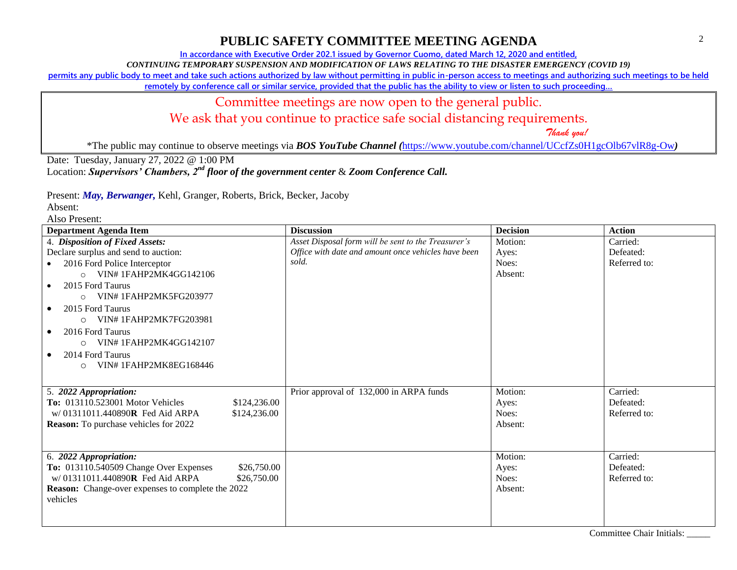**In accordance with Executive Order 202.1 issued by Governor Cuomo, dated March 12, 2020 and entitled,**

*CONTINUING TEMPORARY SUSPENSION AND MODIFICATION OF LAWS RELATING TO THE DISASTER EMERGENCY (COVID 19)*

**permits any public body to meet and take such actions authorized by law without permitting in public in-person access to meetings and authorizing such meetings to be held** 

**remotely by conference call or similar service, provided that the public has the ability to view or listen to such proceeding…**

# Committee meetings are now open to the general public.

We ask that you continue to practice safe social distancing requirements.

 *Thank you!*

\*The public may continue to observe meetings via *BOS YouTube Channel (*<https://www.youtube.com/channel/UCcfZs0H1gcOlb67vlR8g-Ow>*)*

Date: Tuesday, January 27, 2022 @ 1:00 PM

Location: *Supervisors' Chambers, 2nd floor of the government center* & *Zoom Conference Call.*

Present: *May, Berwanger,* Kehl, Granger, Roberts, Brick, Becker, Jacoby

Absent:

| <b>Department Agenda Item</b>                            | <b>Discussion</b>                                   | <b>Decision</b> | <b>Action</b> |
|----------------------------------------------------------|-----------------------------------------------------|-----------------|---------------|
| 4. Disposition of Fixed Assets:                          | Asset Disposal form will be sent to the Treasurer's | Motion:         | Carried:      |
| Declare surplus and send to auction:                     | Office with date and amount once vehicles have been | Ayes:           | Defeated:     |
| 2016 Ford Police Interceptor<br>$\bullet$                | sold.                                               | Noes:           | Referred to:  |
| O VIN#1FAHP2MK4GG142106                                  |                                                     | Absent:         |               |
| 2015 Ford Taurus<br>$\bullet$                            |                                                     |                 |               |
| VIN#1FAHP2MK5FG203977<br>$\cap$                          |                                                     |                 |               |
| 2015 Ford Taurus<br>$\bullet$                            |                                                     |                 |               |
| $\circ$ VIN# 1FAHP2MK7FG203981                           |                                                     |                 |               |
| 2016 Ford Taurus                                         |                                                     |                 |               |
| $\circ$ VIN# 1FAHP2MK4GG142107                           |                                                     |                 |               |
| 2014 Ford Taurus<br>$\bullet$                            |                                                     |                 |               |
| VIN#1FAHP2MK8EG168446<br>$\circ$                         |                                                     |                 |               |
|                                                          |                                                     |                 |               |
| 5. 2022 Appropriation:                                   | Prior approval of 132,000 in ARPA funds             | Motion:         | Carried:      |
| <b>To:</b> 013110.523001 Motor Vehicles<br>\$124,236.00  |                                                     | Ayes:           | Defeated:     |
| w/01311011.440890R Fed Aid ARPA<br>\$124,236.00          |                                                     | Noes:           | Referred to:  |
| <b>Reason:</b> To purchase vehicles for 2022             |                                                     | Absent:         |               |
|                                                          |                                                     |                 |               |
|                                                          |                                                     |                 |               |
| 6. 2022 Appropriation:                                   |                                                     | Motion:         | Carried:      |
| To: 013110.540509 Change Over Expenses<br>\$26,750.00    |                                                     | Ayes:           | Defeated:     |
| w/01311011.440890R Fed Aid ARPA<br>\$26,750.00           |                                                     | Noes:           | Referred to:  |
| <b>Reason:</b> Change-over expenses to complete the 2022 |                                                     | Absent:         |               |
| vehicles                                                 |                                                     |                 |               |
|                                                          |                                                     |                 |               |
|                                                          |                                                     |                 |               |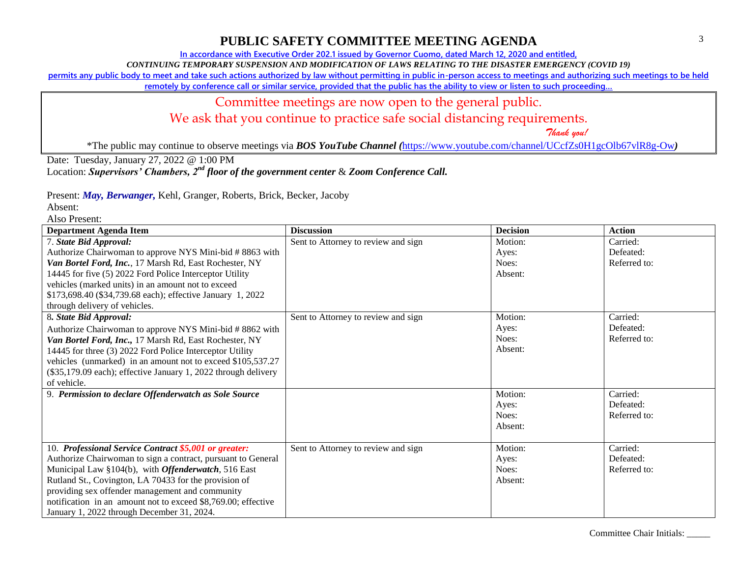**In accordance with Executive Order 202.1 issued by Governor Cuomo, dated March 12, 2020 and entitled,**

*CONTINUING TEMPORARY SUSPENSION AND MODIFICATION OF LAWS RELATING TO THE DISASTER EMERGENCY (COVID 19)*

**permits any public body to meet and take such actions authorized by law without permitting in public in-person access to meetings and authorizing such meetings to be held** 

**remotely by conference call or similar service, provided that the public has the ability to view or listen to such proceeding…**

### Committee meetings are now open to the general public.

We ask that you continue to practice safe social distancing requirements.

 *Thank you!*

\*The public may continue to observe meetings via *BOS YouTube Channel (*<https://www.youtube.com/channel/UCcfZs0H1gcOlb67vlR8g-Ow>*)*

Date: Tuesday, January 27, 2022 @ 1:00 PM

Location: *Supervisors' Chambers, 2nd floor of the government center* & *Zoom Conference Call.*

Present: *May, Berwanger,* Kehl, Granger, Roberts, Brick, Becker, Jacoby

Absent:

| <b>Department Agenda Item</b>                                  | <b>Discussion</b>                   | <b>Decision</b> | <b>Action</b> |
|----------------------------------------------------------------|-------------------------------------|-----------------|---------------|
| 7. State Bid Approval:                                         | Sent to Attorney to review and sign | Motion:         | Carried:      |
| Authorize Chairwoman to approve NYS Mini-bid # 8863 with       |                                     | Ayes:           | Defeated:     |
| Van Bortel Ford, Inc., 17 Marsh Rd, East Rochester, NY         |                                     | Noes:           | Referred to:  |
| 14445 for five (5) 2022 Ford Police Interceptor Utility        |                                     | Absent:         |               |
| vehicles (marked units) in an amount not to exceed             |                                     |                 |               |
| \$173,698.40 (\$34,739.68 each); effective January 1, 2022     |                                     |                 |               |
| through delivery of vehicles.                                  |                                     |                 |               |
| 8. State Bid Approval:                                         | Sent to Attorney to review and sign | Motion:         | Carried:      |
| Authorize Chairwoman to approve NYS Mini-bid #8862 with        |                                     | Ayes:           | Defeated:     |
| Van Bortel Ford, Inc., 17 Marsh Rd, East Rochester, NY         |                                     | Noes:           | Referred to:  |
| 14445 for three (3) 2022 Ford Police Interceptor Utility       |                                     | Absent:         |               |
| vehicles (unmarked) in an amount not to exceed \$105,537.27    |                                     |                 |               |
| (\$35,179.09 each); effective January 1, 2022 through delivery |                                     |                 |               |
| of vehicle.                                                    |                                     |                 |               |
| 9. Permission to declare Offenderwatch as Sole Source          |                                     | Motion:         | Carried:      |
|                                                                |                                     | Ayes:           | Defeated:     |
|                                                                |                                     | Noes:           | Referred to:  |
|                                                                |                                     | Absent:         |               |
|                                                                |                                     |                 |               |
| 10. Professional Service Contract \$5,001 or greater:          | Sent to Attorney to review and sign | Motion:         | Carried:      |
| Authorize Chairwoman to sign a contract, pursuant to General   |                                     | Ayes:           | Defeated:     |
| Municipal Law §104(b), with <i>Offenderwatch</i> , 516 East    |                                     | Noes:           | Referred to:  |
| Rutland St., Covington, LA 70433 for the provision of          |                                     | Absent:         |               |
| providing sex offender management and community                |                                     |                 |               |
| notification in an amount not to exceed \$8,769.00; effective  |                                     |                 |               |
| January 1, 2022 through December 31, 2024.                     |                                     |                 |               |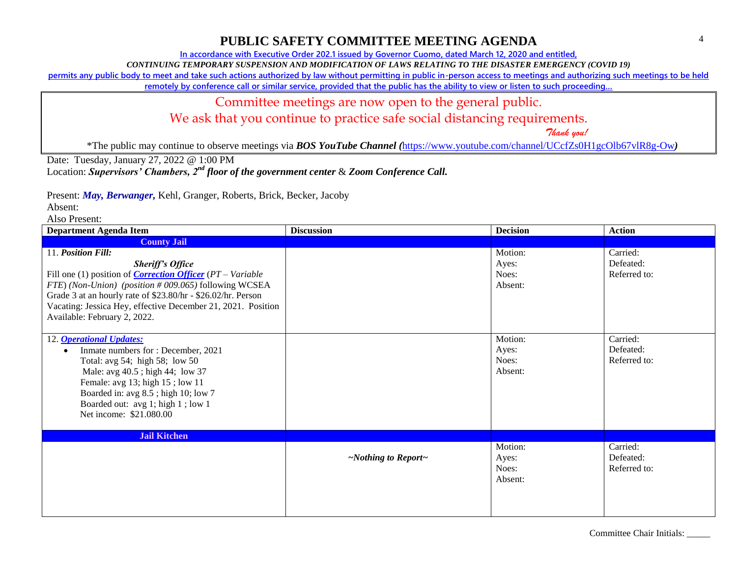**In accordance with Executive Order 202.1 issued by Governor Cuomo, dated March 12, 2020 and entitled,**

*CONTINUING TEMPORARY SUSPENSION AND MODIFICATION OF LAWS RELATING TO THE DISASTER EMERGENCY (COVID 19)*

**permits any public body to meet and take such actions authorized by law without permitting in public in-person access to meetings and authorizing such meetings to be held** 

**remotely by conference call or similar service, provided that the public has the ability to view or listen to such proceeding…**

### Committee meetings are now open to the general public.

We ask that you continue to practice safe social distancing requirements.

 *Thank you!*

\*The public may continue to observe meetings via *BOS YouTube Channel (*<https://www.youtube.com/channel/UCcfZs0H1gcOlb67vlR8g-Ow>*)*

Date: Tuesday, January 27, 2022 @ 1:00 PM

Location: *Supervisors' Chambers, 2nd floor of the government center* & *Zoom Conference Call.*

Present: *May, Berwanger,* Kehl, Granger, Roberts, Brick, Becker, Jacoby

Absent:

| <b>Department Agenda Item</b>                                          | <b>Discussion</b>               | <b>Decision</b> | <b>Action</b> |
|------------------------------------------------------------------------|---------------------------------|-----------------|---------------|
| <b>County Jail</b>                                                     |                                 |                 |               |
| 11. Position Fill:                                                     |                                 | Motion:         | Carried:      |
| <b>Sheriff's Office</b>                                                |                                 | Ayes:           | Defeated:     |
| Fill one (1) position of <i>Correction Officer</i> $(PT - Variable)$   |                                 | Noes:           | Referred to:  |
| FTE) (Non-Union) (position # 009.065) following WCSEA                  |                                 | Absent:         |               |
| Grade 3 at an hourly rate of \$23.80/hr - \$26.02/hr. Person           |                                 |                 |               |
| Vacating: Jessica Hey, effective December 21, 2021. Position           |                                 |                 |               |
| Available: February 2, 2022.                                           |                                 |                 |               |
|                                                                        |                                 |                 |               |
| 12. <b>Operational Updates:</b>                                        |                                 | Motion:         | Carried:      |
| Inmate numbers for : December, 2021                                    |                                 | Ayes:           | Defeated:     |
| Total: avg $54$ ; high $58$ ; low $50$                                 |                                 | Noes:           | Referred to:  |
| Male: avg 40.5; high 44; low 37                                        |                                 | Absent:         |               |
| Female: avg 13; high 15; low 11<br>Boarded in: avg 8.5; high 10; low 7 |                                 |                 |               |
| Boarded out: avg 1; high 1; low 1                                      |                                 |                 |               |
| Net income: \$21.080.00                                                |                                 |                 |               |
|                                                                        |                                 |                 |               |
| <b>Jail Kitchen</b>                                                    |                                 |                 |               |
|                                                                        |                                 | Motion:         | Carried:      |
|                                                                        | $\sim$ Nothing to Report $\sim$ | Ayes:           | Defeated:     |
|                                                                        |                                 | Noes:           | Referred to:  |
|                                                                        |                                 | Absent:         |               |
|                                                                        |                                 |                 |               |
|                                                                        |                                 |                 |               |
|                                                                        |                                 |                 |               |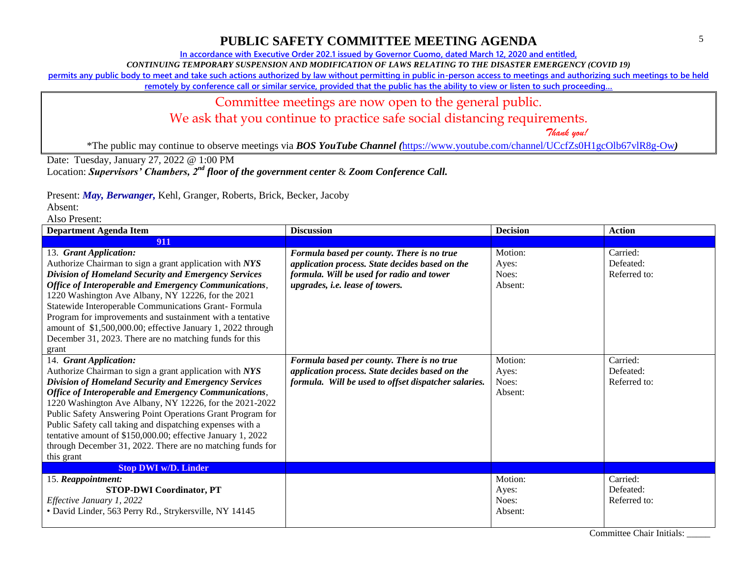**In accordance with Executive Order 202.1 issued by Governor Cuomo, dated March 12, 2020 and entitled,**

*CONTINUING TEMPORARY SUSPENSION AND MODIFICATION OF LAWS RELATING TO THE DISASTER EMERGENCY (COVID 19)*

**permits any public body to meet and take such actions authorized by law without permitting in public in-person access to meetings and authorizing such meetings to be held** 

**remotely by conference call or similar service, provided that the public has the ability to view or listen to such proceeding…**

# Committee meetings are now open to the general public.

We ask that you continue to practice safe social distancing requirements.

 *Thank you!*

\*The public may continue to observe meetings via *BOS YouTube Channel (*<https://www.youtube.com/channel/UCcfZs0H1gcOlb67vlR8g-Ow>*)*

Date: Tuesday, January 27, 2022 @ 1:00 PM

Location: *Supervisors' Chambers, 2nd floor of the government center* & *Zoom Conference Call.*

Present: *May, Berwanger,* Kehl, Granger, Roberts, Brick, Becker, Jacoby

Absent:

| <b>Department Agenda Item</b>                                                                                                                                                                                                                                                                                                                                                                                                                                                                                                       | <b>Discussion</b>                                                                                                                                                             | <b>Decision</b>                      | <b>Action</b>                         |
|-------------------------------------------------------------------------------------------------------------------------------------------------------------------------------------------------------------------------------------------------------------------------------------------------------------------------------------------------------------------------------------------------------------------------------------------------------------------------------------------------------------------------------------|-------------------------------------------------------------------------------------------------------------------------------------------------------------------------------|--------------------------------------|---------------------------------------|
| 911                                                                                                                                                                                                                                                                                                                                                                                                                                                                                                                                 |                                                                                                                                                                               |                                      |                                       |
| 13. Grant Application:<br>Authorize Chairman to sign a grant application with NYS<br>Division of Homeland Security and Emergency Services<br><b>Office of Interoperable and Emergency Communications,</b><br>1220 Washington Ave Albany, NY 12226, for the 2021<br>Statewide Interoperable Communications Grant-Formula<br>Program for improvements and sustainment with a tentative<br>amount of \$1,500,000.00; effective January 1, 2022 through<br>December 31, 2023. There are no matching funds for this<br>grant             | Formula based per county. There is no true<br>application process. State decides based on the<br>formula. Will be used for radio and tower<br>upgrades, i.e. lease of towers. | Motion:<br>Ayes:<br>Noes:<br>Absent: | Carried:<br>Defeated:<br>Referred to: |
| 14. Grant Application:<br>Authorize Chairman to sign a grant application with NYS<br>Division of Homeland Security and Emergency Services<br>Office of Interoperable and Emergency Communications,<br>1220 Washington Ave Albany, NY 12226, for the 2021-2022<br>Public Safety Answering Point Operations Grant Program for<br>Public Safety call taking and dispatching expenses with a<br>tentative amount of \$150,000.00; effective January 1, 2022<br>through December 31, 2022. There are no matching funds for<br>this grant | Formula based per county. There is no true<br>application process. State decides based on the<br>formula. Will be used to offset dispatcher salaries.                         | Motion:<br>Ayes:<br>Noes:<br>Absent: | Carried:<br>Defeated:<br>Referred to: |
| <b>Stop DWI w/D. Linder</b>                                                                                                                                                                                                                                                                                                                                                                                                                                                                                                         |                                                                                                                                                                               |                                      |                                       |
| 15. Reappointment:<br><b>STOP-DWI Coordinator, PT</b><br>Effective January 1, 2022<br>• David Linder, 563 Perry Rd., Strykersville, NY 14145                                                                                                                                                                                                                                                                                                                                                                                        |                                                                                                                                                                               | Motion:<br>Ayes:<br>Noes:<br>Absent: | Carried:<br>Defeated:<br>Referred to: |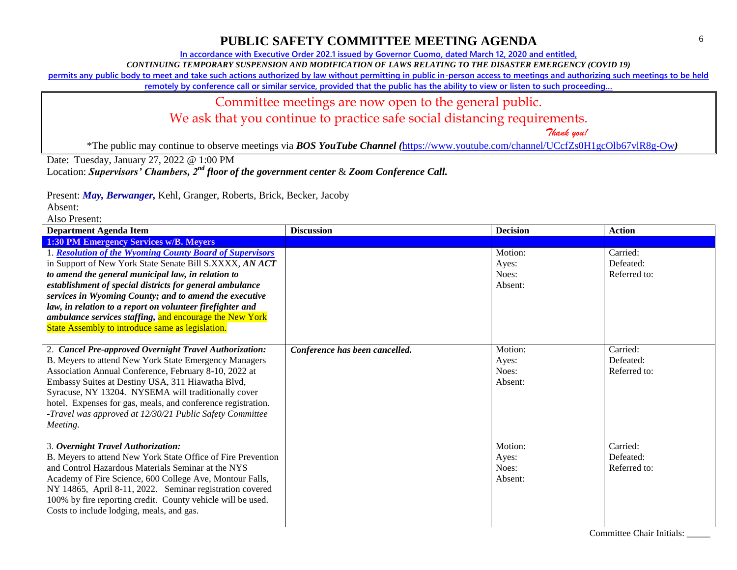**In accordance with Executive Order 202.1 issued by Governor Cuomo, dated March 12, 2020 and entitled,**

*CONTINUING TEMPORARY SUSPENSION AND MODIFICATION OF LAWS RELATING TO THE DISASTER EMERGENCY (COVID 19)*

**permits any public body to meet and take such actions authorized by law without permitting in public in-person access to meetings and authorizing such meetings to be held** 

**remotely by conference call or similar service, provided that the public has the ability to view or listen to such proceeding…**

### Committee meetings are now open to the general public.

We ask that you continue to practice safe social distancing requirements.

 *Thank you!*

\*The public may continue to observe meetings via *BOS YouTube Channel (*<https://www.youtube.com/channel/UCcfZs0H1gcOlb67vlR8g-Ow>*)*

Date: Tuesday, January 27, 2022 @ 1:00 PM

Location: *Supervisors' Chambers, 2nd floor of the government center* & *Zoom Conference Call.*

Present: *May, Berwanger,* Kehl, Granger, Roberts, Brick, Becker, Jacoby

Absent:

| <b>Department Agenda Item</b>                                                                                                                                                                                                                                                                                                                                                                                                                                               | <b>Discussion</b>              | <b>Decision</b>                      | <b>Action</b>                         |
|-----------------------------------------------------------------------------------------------------------------------------------------------------------------------------------------------------------------------------------------------------------------------------------------------------------------------------------------------------------------------------------------------------------------------------------------------------------------------------|--------------------------------|--------------------------------------|---------------------------------------|
| 1:30 PM Emergency Services w/B. Meyers                                                                                                                                                                                                                                                                                                                                                                                                                                      |                                |                                      |                                       |
| 1. Resolution of the Wyoming County Board of Supervisors<br>in Support of New York State Senate Bill S.XXXX, AN ACT<br>to amend the general municipal law, in relation to<br>establishment of special districts for general ambulance<br>services in Wyoming County; and to amend the executive<br>law, in relation to a report on volunteer firefighter and<br>ambulance services staffing, and encourage the New York<br>State Assembly to introduce same as legislation. |                                | Motion:<br>Ayes:<br>Noes:<br>Absent: | Carried:<br>Defeated:<br>Referred to: |
| 2. Cancel Pre-approved Overnight Travel Authorization:<br>B. Meyers to attend New York State Emergency Managers<br>Association Annual Conference, February 8-10, 2022 at<br>Embassy Suites at Destiny USA, 311 Hiawatha Blvd,<br>Syracuse, NY 13204. NYSEMA will traditionally cover<br>hotel. Expenses for gas, meals, and conference registration.<br>-Travel was approved at 12/30/21 Public Safety Committee<br>Meeting.                                                | Conference has been cancelled. | Motion:<br>Ayes:<br>Noes:<br>Absent: | Carried:<br>Defeated:<br>Referred to: |
| 3. Overnight Travel Authorization:<br>B. Meyers to attend New York State Office of Fire Prevention<br>and Control Hazardous Materials Seminar at the NYS<br>Academy of Fire Science, 600 College Ave, Montour Falls,<br>NY 14865, April 8-11, 2022. Seminar registration covered<br>100% by fire reporting credit. County vehicle will be used.<br>Costs to include lodging, meals, and gas.                                                                                |                                | Motion:<br>Ayes:<br>Noes:<br>Absent: | Carried:<br>Defeated:<br>Referred to: |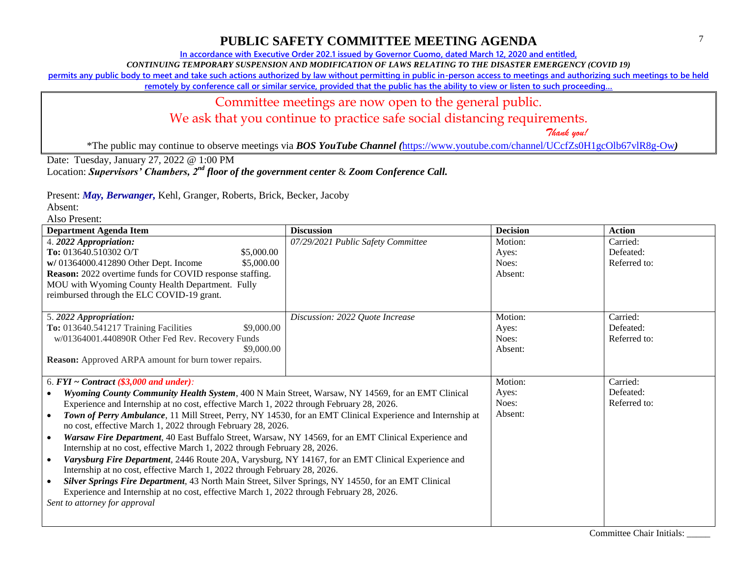**In accordance with Executive Order 202.1 issued by Governor Cuomo, dated March 12, 2020 and entitled,**

*CONTINUING TEMPORARY SUSPENSION AND MODIFICATION OF LAWS RELATING TO THE DISASTER EMERGENCY (COVID 19)*

**permits any public body to meet and take such actions authorized by law without permitting in public in-person access to meetings and authorizing such meetings to be held** 

**remotely by conference call or similar service, provided that the public has the ability to view or listen to such proceeding…**

### Committee meetings are now open to the general public.

We ask that you continue to practice safe social distancing requirements.

 *Thank you!*

\*The public may continue to observe meetings via *BOS YouTube Channel (*<https://www.youtube.com/channel/UCcfZs0H1gcOlb67vlR8g-Ow>*)*

Date: Tuesday, January 27, 2022 @ 1:00 PM

Location: *Supervisors' Chambers, 2nd floor of the government center* & *Zoom Conference Call.*

Present: *May, Berwanger,* Kehl, Granger, Roberts, Brick, Becker, Jacoby

Absent:

| <b>Department Agenda Item</b>                                                                                           | <b>Discussion</b>                  | <b>Decision</b> | <b>Action</b> |
|-------------------------------------------------------------------------------------------------------------------------|------------------------------------|-----------------|---------------|
| 4. 2022 Appropriation:                                                                                                  | 07/29/2021 Public Safety Committee | Motion:         | Carried:      |
| To: 013640.510302 O/T<br>\$5,000.00                                                                                     |                                    | Ayes:           | Defeated:     |
| w/ 01364000.412890 Other Dept. Income<br>\$5,000.00                                                                     |                                    | Noes:           | Referred to:  |
| Reason: 2022 overtime funds for COVID response staffing.                                                                |                                    | Absent:         |               |
| MOU with Wyoming County Health Department. Fully                                                                        |                                    |                 |               |
| reimbursed through the ELC COVID-19 grant.                                                                              |                                    |                 |               |
|                                                                                                                         |                                    |                 |               |
| 5.2022 Appropriation:                                                                                                   | Discussion: 2022 Quote Increase    | Motion:         | Carried:      |
| \$9,000.00<br>To: 013640.541217 Training Facilities                                                                     |                                    | Ayes:           | Defeated:     |
| w/01364001.440890R Other Fed Rev. Recovery Funds                                                                        |                                    | Noes:           | Referred to:  |
| \$9,000.00                                                                                                              |                                    | Absent:         |               |
| Reason: Approved ARPA amount for burn tower repairs.                                                                    |                                    |                 |               |
|                                                                                                                         |                                    |                 |               |
| 6. $FYI \sim Contract$ (\$3,000 and under):                                                                             |                                    | Motion:         | Carried:      |
| Wyoming County Community Health System, 400 N Main Street, Warsaw, NY 14569, for an EMT Clinical                        |                                    | Ayes:           | Defeated:     |
| Experience and Internship at no cost, effective March 1, 2022 through February 28, 2026.                                |                                    | Noes:           | Referred to:  |
| Town of Perry Ambulance, 11 Mill Street, Perry, NY 14530, for an EMT Clinical Experience and Internship at<br>$\bullet$ |                                    | Absent:         |               |
| no cost, effective March 1, 2022 through February 28, 2026.                                                             |                                    |                 |               |
| Warsaw Fire Department, 40 East Buffalo Street, Warsaw, NY 14569, for an EMT Clinical Experience and<br>$\bullet$       |                                    |                 |               |
| Internship at no cost, effective March 1, 2022 through February 28, 2026.                                               |                                    |                 |               |
| Varysburg Fire Department, 2446 Route 20A, Varysburg, NY 14167, for an EMT Clinical Experience and<br>$\bullet$         |                                    |                 |               |
| Internship at no cost, effective March 1, 2022 through February 28, 2026.                                               |                                    |                 |               |
| Silver Springs Fire Department, 43 North Main Street, Silver Springs, NY 14550, for an EMT Clinical                     |                                    |                 |               |
| Experience and Internship at no cost, effective March 1, 2022 through February 28, 2026.                                |                                    |                 |               |
| Sent to attorney for approval                                                                                           |                                    |                 |               |
|                                                                                                                         |                                    |                 |               |
|                                                                                                                         |                                    |                 |               |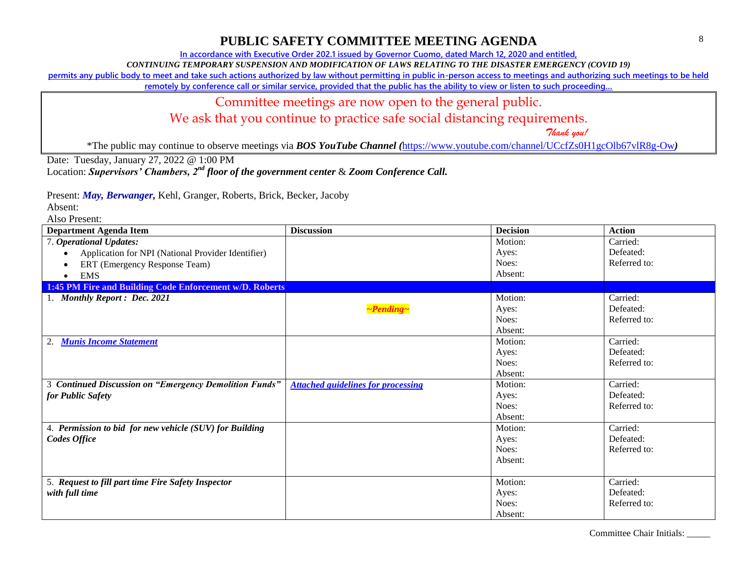**In accordance with Executive Order 202.1 issued by Governor Cuomo, dated March 12, 2020 and entitled,**

*CONTINUING TEMPORARY SUSPENSION AND MODIFICATION OF LAWS RELATING TO THE DISASTER EMERGENCY (COVID 19)*

**permits any public body to meet and take such actions authorized by law without permitting in public in-person access to meetings and authorizing such meetings to be held** 

**remotely by conference call or similar service, provided that the public has the ability to view or listen to such proceeding…**

#### Committee meetings are now open to the general public.

We ask that you continue to practice safe social distancing requirements.

 *Thank you!*

\*The public may continue to observe meetings via *BOS YouTube Channel (*<https://www.youtube.com/channel/UCcfZs0H1gcOlb67vlR8g-Ow>*)*

Date: Tuesday, January 27, 2022 @ 1:00 PM

Location: *Supervisors' Chambers, 2nd floor of the government center* & *Zoom Conference Call.*

Present: *May, Berwanger,* Kehl, Granger, Roberts, Brick, Becker, Jacoby

Absent:

| <b>Department Agenda Item</b>                           | <b>Discussion</b>                         | <b>Decision</b> | <b>Action</b> |
|---------------------------------------------------------|-------------------------------------------|-----------------|---------------|
| 7. Operational Updates:                                 |                                           | Motion:         | Carried:      |
| Application for NPI (National Provider Identifier)      |                                           | Ayes:           | Defeated:     |
| ERT (Emergency Response Team)                           |                                           | Noes:           | Referred to:  |
| <b>EMS</b>                                              |                                           | Absent:         |               |
| 1:45 PM Fire and Building Code Enforcement w/D. Roberts |                                           |                 |               |
| 1. Monthly Report: Dec. 2021                            |                                           | Motion:         | Carried:      |
|                                                         | $\neg$ Pending $\neg$                     | Ayes:           | Defeated:     |
|                                                         |                                           | Noes:           | Referred to:  |
|                                                         |                                           | Absent:         |               |
| <b>Munis Income Statement</b><br>2.                     |                                           | Motion:         | Carried:      |
|                                                         |                                           | Ayes:           | Defeated:     |
|                                                         |                                           | Noes:           | Referred to:  |
|                                                         |                                           | Absent:         |               |
| 3 Continued Discussion on "Emergency Demolition Funds"  | <b>Attached guidelines for processing</b> | Motion:         | Carried:      |
| for Public Safety                                       |                                           | Ayes:           | Defeated:     |
|                                                         |                                           | Noes:           | Referred to:  |
|                                                         |                                           | Absent:         |               |
| 4. Permission to bid for new vehicle (SUV) for Building |                                           | Motion:         | Carried:      |
| Codes Office                                            |                                           | Ayes:           | Defeated:     |
|                                                         |                                           | Noes:           | Referred to:  |
|                                                         |                                           | Absent:         |               |
|                                                         |                                           |                 |               |
| 5. Request to fill part time Fire Safety Inspector      |                                           | Motion:         | Carried:      |
| with full time                                          |                                           | Ayes:           | Defeated:     |
|                                                         |                                           | Noes:           | Referred to:  |
|                                                         |                                           | Absent:         |               |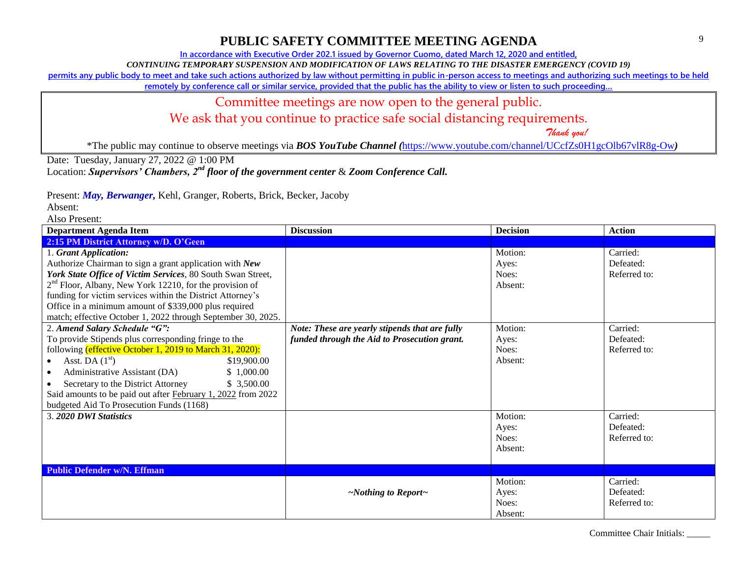**In accordance with Executive Order 202.1 issued by Governor Cuomo, dated March 12, 2020 and entitled,**

*CONTINUING TEMPORARY SUSPENSION AND MODIFICATION OF LAWS RELATING TO THE DISASTER EMERGENCY (COVID 19)*

**permits any public body to meet and take such actions authorized by law without permitting in public in-person access to meetings and authorizing such meetings to be held** 

**remotely by conference call or similar service, provided that the public has the ability to view or listen to such proceeding…**

### Committee meetings are now open to the general public.

We ask that you continue to practice safe social distancing requirements.

 *Thank you!*

\*The public may continue to observe meetings via *BOS YouTube Channel (*<https://www.youtube.com/channel/UCcfZs0H1gcOlb67vlR8g-Ow>*)*

Date: Tuesday, January 27, 2022 @ 1:00 PM

Location: *Supervisors' Chambers, 2nd floor of the government center* & *Zoom Conference Call.*

Present: *May, Berwanger,* Kehl, Granger, Roberts, Brick, Becker, Jacoby

Absent:

| <b>Department Agenda Item</b>                                       | <b>Discussion</b>                              | <b>Decision</b> | <b>Action</b> |
|---------------------------------------------------------------------|------------------------------------------------|-----------------|---------------|
| 2:15 PM District Attorney w/D. O'Geen                               |                                                |                 |               |
| 1. Grant Application:                                               |                                                | Motion:         | Carried:      |
| Authorize Chairman to sign a grant application with New             |                                                | Ayes:           | Defeated:     |
| York State Office of Victim Services, 80 South Swan Street,         |                                                | Noes:           | Referred to:  |
| 2 <sup>nd</sup> Floor, Albany, New York 12210, for the provision of |                                                | Absent:         |               |
| funding for victim services within the District Attorney's          |                                                |                 |               |
| Office in a minimum amount of \$339,000 plus required               |                                                |                 |               |
| match; effective October 1, 2022 through September 30, 2025.        |                                                |                 |               |
| 2. Amend Salary Schedule "G":                                       | Note: These are yearly stipends that are fully | Motion:         | Carried:      |
| To provide Stipends plus corresponding fringe to the                | funded through the Aid to Prosecution grant.   | Ayes:           | Defeated:     |
| following (effective October 1, 2019 to March 31, 2020):            |                                                | Noes:           | Referred to:  |
| Asst. DA $(1st)$<br>\$19,900.00<br>$\bullet$                        |                                                | Absent:         |               |
| Administrative Assistant (DA)<br>\$1,000.00<br>$\bullet$            |                                                |                 |               |
| \$3,500.00<br>Secretary to the District Attorney                    |                                                |                 |               |
| Said amounts to be paid out after February 1, 2022 from 2022        |                                                |                 |               |
| budgeted Aid To Prosecution Funds (1168)                            |                                                |                 |               |
| 3. 2020 DWI Statistics                                              |                                                | Motion:         | Carried:      |
|                                                                     |                                                | Ayes:           | Defeated:     |
|                                                                     |                                                | Noes:           | Referred to:  |
|                                                                     |                                                | Absent:         |               |
|                                                                     |                                                |                 |               |
| <b>Public Defender w/N. Effman</b>                                  |                                                |                 |               |
|                                                                     |                                                | Motion:         | Carried:      |
|                                                                     | $\sim$ Nothing to Report $\sim$                | Ayes:           | Defeated:     |
|                                                                     |                                                | Noes:           | Referred to:  |
|                                                                     |                                                | Absent:         |               |